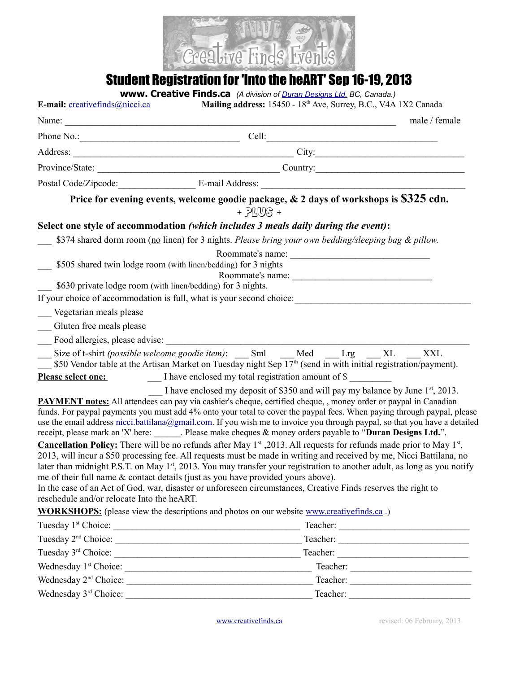

Student Registration for 'Into the heART' Sep 16-19, 2013

**www. Creative Finds.ca** *(A division of [Duran Designs Ltd.](http://duran.ca/) BC, Canada.)* 

| <b>WWW. Cleative Finus.Ca</b> (A division of <u>Duran Designs Ltd.</u> BC, Canada.)<br>Mailing address: 15450 - 18th Ave, Surrey, B.C., V4A 1X2 Canada<br>E-mail: creativefinds@nicci.ca                                                                                                                                                                                                                                                                                                                                                                                                                                                                 |
|----------------------------------------------------------------------------------------------------------------------------------------------------------------------------------------------------------------------------------------------------------------------------------------------------------------------------------------------------------------------------------------------------------------------------------------------------------------------------------------------------------------------------------------------------------------------------------------------------------------------------------------------------------|
| male / female                                                                                                                                                                                                                                                                                                                                                                                                                                                                                                                                                                                                                                            |
| Phone No.: Cell: Cell:                                                                                                                                                                                                                                                                                                                                                                                                                                                                                                                                                                                                                                   |
|                                                                                                                                                                                                                                                                                                                                                                                                                                                                                                                                                                                                                                                          |
| Province/State: Country: Country:                                                                                                                                                                                                                                                                                                                                                                                                                                                                                                                                                                                                                        |
|                                                                                                                                                                                                                                                                                                                                                                                                                                                                                                                                                                                                                                                          |
| Price for evening events, welcome goodie package, & 2 days of workshops is \$325 cdn.<br>+ PHUS +                                                                                                                                                                                                                                                                                                                                                                                                                                                                                                                                                        |
| Select one style of accommodation (which includes 3 meals daily during the event):                                                                                                                                                                                                                                                                                                                                                                                                                                                                                                                                                                       |
| \$374 shared dorm room (no linen) for 3 nights. Please bring your own bedding/sleeping bag & pillow.                                                                                                                                                                                                                                                                                                                                                                                                                                                                                                                                                     |
| Roommate's name:<br>\$505 shared twin lodge room (with linen/bedding) for 3 nights                                                                                                                                                                                                                                                                                                                                                                                                                                                                                                                                                                       |
| \$630 private lodge room (with linen/bedding) for 3 nights.                                                                                                                                                                                                                                                                                                                                                                                                                                                                                                                                                                                              |
| If your choice of accommodation is full, what is your second choice:                                                                                                                                                                                                                                                                                                                                                                                                                                                                                                                                                                                     |
| Vegetarian meals please                                                                                                                                                                                                                                                                                                                                                                                                                                                                                                                                                                                                                                  |
| Gluten free meals please                                                                                                                                                                                                                                                                                                                                                                                                                                                                                                                                                                                                                                 |
| Food allergies, please advise: North Management and Security and Security and Security and Security and Security and Security and Security and Security and Security and Security and Security and Security and Security and S                                                                                                                                                                                                                                                                                                                                                                                                                           |
| Size of t-shirt (possible welcome goodie item): ___ Sml ___ Med ___ Lrg ___ XL ___ XXL<br>\$50 Vendor table at the Artisan Market on Tuesday night Sep 17 <sup>th</sup> (send in with initial registration/payment).                                                                                                                                                                                                                                                                                                                                                                                                                                     |
| I have enclosed my total registration amount of \$<br><b>Please select one:</b>                                                                                                                                                                                                                                                                                                                                                                                                                                                                                                                                                                          |
| I have enclosed my deposit of \$350 and will pay my balance by June $1st$ , 2013.<br><b>PAYMENT notes:</b> All attendees can pay via cashier's cheque, certified cheque, , money order or paypal in Canadian<br>funds. For paypal payments you must add 4% onto your total to cover the paypal fees. When paying through paypal, please<br>use the email address nicci.battilana@gmail.com. If you wish me to invoice you through paypal, so that you have a detailed<br>receipt, please mark an 'X' here: Please make cheques & money orders payable to "Duran Designs Ltd.".                                                                           |
| <b>Cancellation Policy:</b> There will be no refunds after May $1^{st}$ , 2013. All requests for refunds made prior to May $1^{st}$ ,<br>2013, will incur a \$50 processing fee. All requests must be made in writing and received by me, Nicci Battilana, no<br>later than midnight P.S.T. on May 1 <sup>st</sup> , 2013. You may transfer your registration to another adult, as long as you notify<br>me of their full name & contact details (just as you have provided yours above).<br>In the case of an Act of God, war, disaster or unforeseen circumstances, Creative Finds reserves the right to<br>reschedule and/or relocate Into the heART. |
| <b>WORKSHOPS:</b> (please view the descriptions and photos on our website www.creativefinds.ca.)                                                                                                                                                                                                                                                                                                                                                                                                                                                                                                                                                         |
|                                                                                                                                                                                                                                                                                                                                                                                                                                                                                                                                                                                                                                                          |
|                                                                                                                                                                                                                                                                                                                                                                                                                                                                                                                                                                                                                                                          |
|                                                                                                                                                                                                                                                                                                                                                                                                                                                                                                                                                                                                                                                          |
|                                                                                                                                                                                                                                                                                                                                                                                                                                                                                                                                                                                                                                                          |
|                                                                                                                                                                                                                                                                                                                                                                                                                                                                                                                                                                                                                                                          |
|                                                                                                                                                                                                                                                                                                                                                                                                                                                                                                                                                                                                                                                          |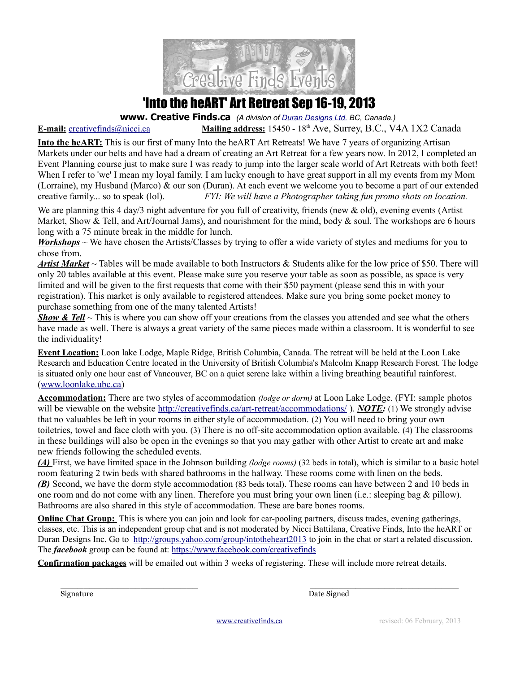

## 'Into the heART' Art Retreat Sep 16-19, 2013

**www. Creative Finds.ca** *(A division of [Duran Designs Ltd.](http://duran.ca/) BC, Canada.)* 

**E-mail:** [creativefinds@nicci.ca](mailto:creativefinds@nicci.ca) **Mailing address:** 15450 - 18<sup>th</sup> Ave, Surrey, B.C., V4A 1X2 Canada

**Into the heART:** This is our first of many Into the heART Art Retreats! We have 7 years of organizing Artisan Markets under our belts and have had a dream of creating an Art Retreat for a few years now. In 2012, I completed an Event Planning course just to make sure I was ready to jump into the larger scale world of Art Retreats with both feet! When I refer to 'we' I mean my loyal family. I am lucky enough to have great support in all my events from my Mom (Lorraine), my Husband (Marco) & our son (Duran). At each event we welcome you to become a part of our extended creative family... so to speak (lol). *FYI: We will have a Photographer taking fun promo shots on location.*

We are planning this 4 day/3 night adventure for you full of creativity, friends (new & old), evening events (Artist Market, Show & Tell, and Art/Journal Jams), and nourishment for the mind, body & soul. The workshops are 6 hours long with a 75 minute break in the middle for lunch.

*Workshops* ~ We have chosen the Artists/Classes by trying to offer a wide variety of styles and mediums for you to chose from.

*Artist Market* ~ Tables will be made available to both Instructors & Students alike for the low price of \$50. There will only 20 tables available at this event. Please make sure you reserve your table as soon as possible, as space is very limited and will be given to the first requests that come with their \$50 payment (please send this in with your registration). This market is only available to registered attendees. Make sure you bring some pocket money to purchase something from one of the many talented Artists!

*Show & Tell* ~ This is where you can show off your creations from the classes you attended and see what the others have made as well. There is always a great variety of the same pieces made within a classroom. It is wonderful to see the individuality!

**Event Location:** Loon lake Lodge, Maple Ridge, British Columbia, Canada. The retreat will be held at the Loon Lake Research and Education Centre located in the University of British Columbia's Malcolm Knapp Research Forest. The lodge is situated only one hour east of Vancouver, BC on a quiet serene lake within a living breathing beautiful rainforest. [\(www.loonlake.ubc.ca\)](http://www.loonlake.ubc.ca/)

**Accommodation:** There are two styles of accommodation *(lodge or dorm)* at Loon Lake Lodge. (FYI: sample photos will be viewable on the website http://creativefinds.ca/art-retreat/accommodations/). *NOTE:* (1) We strongly advise that no valuables be left in your rooms in either style of accommodation. (2) You will need to bring your own toiletries, towel and face cloth with you. (3) There is no off-site accommodation option available. (4) The classrooms in these buildings will also be open in the evenings so that you may gather with other Artist to create art and make new friends following the scheduled events.

*(A)* First, we have limited space in the Johnson building *(lodge rooms)* (32 beds in total), which is similar to a basic hotel room featuring 2 twin beds with shared bathrooms in the hallway. These rooms come with linen on the beds. *(B)* Second, we have the dorm style accommodation (83 beds total). These rooms can have between 2 and 10 beds in one room and do not come with any linen. Therefore you must bring your own linen (i.e.: sleeping bag & pillow). Bathrooms are also shared in this style of accommodation. These are bare bones rooms.

**Online Chat Group:** This is where you can join and look for car-pooling partners, discuss trades, evening gatherings, classes, etc. This is an independent group chat and is not moderated by Nicci Battilana, Creative Finds, Into the heART or Duran Designs Inc. Go to <http://groups.yahoo.com/group/intotheheart2013>to join in the chat or start a related discussion. The *facebook* group can be found at:<https://www.facebook.com/creativefinds>

**Confirmation packages** will be emailed out within 3 weeks of registering. These will include more retreat details.

 $\overline{\phantom{a}}$  , and the contribution of the contribution of the contribution of the contribution of the contribution of the contribution of the contribution of the contribution of the contribution of the contribution of the Signature Date Signed